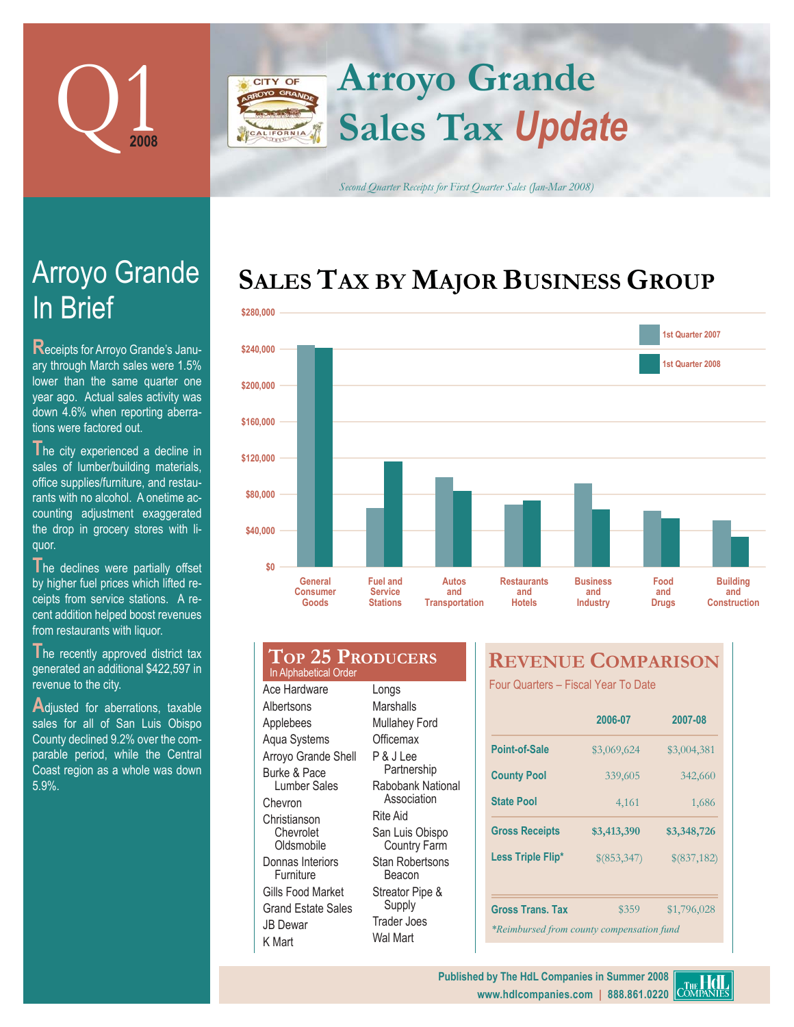

### **Arroyo Grande** CITY OF **Sales Tax** *Update* LIFORNIA

*Second Quarter Receipts for First Quarter Sales (Jan-Mar 2008)*

# SALES TAX BY MAJOR BUSINESS GROUP



| \$200,000 |                                                  |                                   |                              |                      |                           |                     |     |
|-----------|--------------------------------------------------|-----------------------------------|------------------------------|----------------------|---------------------------|---------------------|-----|
| \$160,000 |                                                  |                                   |                              |                      |                           |                     |     |
| \$120,000 |                                                  |                                   |                              |                      |                           |                     |     |
| \$80,000  |                                                  |                                   |                              |                      |                           |                     |     |
| \$40,000  |                                                  |                                   |                              |                      |                           |                     |     |
| \$0       | <b>General</b>                                   | <b>Fuel and</b>                   | <b>Autos</b>                 | <b>Restaurants</b>   | <b>Business</b>           | Food                | B   |
|           | <b>Consumer</b><br>Goods                         | <b>Service</b><br><b>Stations</b> | and<br><b>Transportation</b> | and<br><b>Hotels</b> | and<br><b>Industry</b>    | and<br><b>Drugs</b> | Cor |
|           |                                                  |                                   |                              |                      |                           |                     |     |
|           | <b>TOP 25 PRODUCERS</b><br>In Alphabetical Order |                                   |                              |                      | <b>REVENUE COMPARISON</b> |                     |     |

In Brief Arroyo Grande

**R**eceipts for Arroyo Grande's January through March sales were 1.5% lower than the same quarter one year ago. Actual sales activity was down 4.6% when reporting aberrations were factored out.

The city experienced a decline in sales of lumber/building materials, office supplies/furniture, and restaurants with no alcohol. A onetime accounting adjustment exaggerated the drop in grocery stores with liquor.

The declines were partially offset by higher fuel prices which lifted receipts from service stations. A recent addition helped boost revenues from restaurants with liquor.

**The recently approved district tax** generated an additional \$422,597 in revenue to the city.

Adjusted for aberrations, taxable sales for all of San Luis Obispo County declined 9.2% over the comparable period, while the Central Coast region as a whole was down 5.9%.

Ace Hardware Albertsons Applebees Aqua Systems Arroyo Grande Shell Burke & Pace Lumber Sales Chevron Christianson Chevrolet **Oldsmobile** Donnas Interiors **Furniture** Gills Food Market Grand Estate Sales JB Dewar K Mart Longs **Marshalls** Mullahey Ford **Officemax** P & J Lee Partnership Rabobank National **Association** Rite Aid San Luis Obispo Country Farm Stan Robertsons Beacon Streator Pipe & Supply Trader Joes Wal Mart

Four Quarters - Fiscal Year To Date

|                                           | 2006-07     | 2007-08     |  |  |  |  |
|-------------------------------------------|-------------|-------------|--|--|--|--|
| <b>Point-of-Sale</b>                      | \$3,069,624 | \$3,004,381 |  |  |  |  |
| <b>County Pool</b>                        | 339,605     | 342,660     |  |  |  |  |
| <b>State Pool</b>                         | 4,161       | 1,686       |  |  |  |  |
| <b>Gross Receipts</b>                     | \$3,413,390 | \$3,348,726 |  |  |  |  |
| Less Triple Flip*                         | \$(853,347) | \$(837,182) |  |  |  |  |
| <b>Gross Trans. Tax</b>                   | \$359       | \$1,796,028 |  |  |  |  |
| *Reimbursed from county compensation fund |             |             |  |  |  |  |